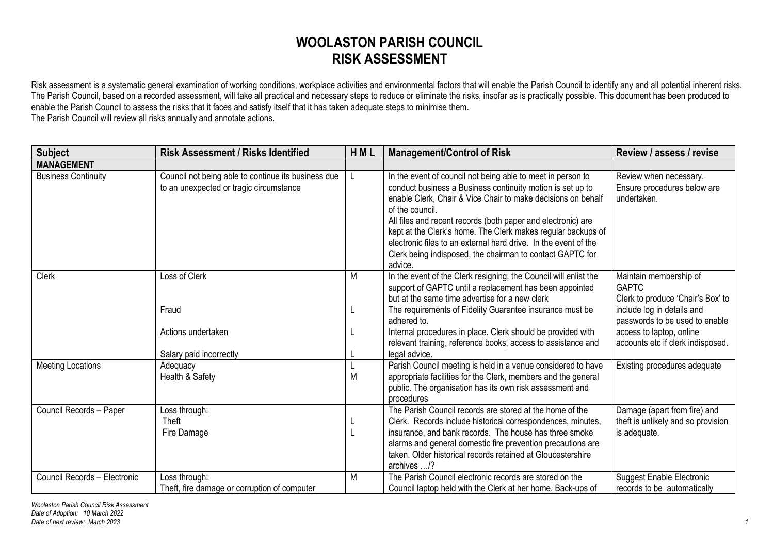## **WOOLASTON PARISH COUNCIL RISK ASSESSMENT**

Risk assessment is a systematic general examination of working conditions, workplace activities and environmental factors that will enable the Parish Council to identify any and all potential inherent risks. The Parish Council, based on a recorded assessment, will take all practical and necessary steps to reduce or eliminate the risks, insofar as is practically possible. This document has been produced to enable the Parish Council to assess the risks that it faces and satisfy itself that it has taken adequate steps to minimise them. The Parish Council will review all risks annually and annotate actions.

| <b>Subject</b>               | <b>Risk Assessment / Risks Identified</b>                                                      | HML | <b>Management/Control of Risk</b>                                                                                                                                                                                                                                                                                                                                                                                                                                                       | Review / assess / revise                                                                                  |
|------------------------------|------------------------------------------------------------------------------------------------|-----|-----------------------------------------------------------------------------------------------------------------------------------------------------------------------------------------------------------------------------------------------------------------------------------------------------------------------------------------------------------------------------------------------------------------------------------------------------------------------------------------|-----------------------------------------------------------------------------------------------------------|
| <b>MANAGEMENT</b>            |                                                                                                |     |                                                                                                                                                                                                                                                                                                                                                                                                                                                                                         |                                                                                                           |
| <b>Business Continuity</b>   | Council not being able to continue its business due<br>to an unexpected or tragic circumstance | L   | In the event of council not being able to meet in person to<br>conduct business a Business continuity motion is set up to<br>enable Clerk, Chair & Vice Chair to make decisions on behalf<br>of the council.<br>All files and recent records (both paper and electronic) are<br>kept at the Clerk's home. The Clerk makes regular backups of<br>electronic files to an external hard drive. In the event of the<br>Clerk being indisposed, the chairman to contact GAPTC for<br>advice. | Review when necessary.<br>Ensure procedures below are<br>undertaken.                                      |
| <b>Clerk</b>                 | Loss of Clerk<br>Fraud                                                                         | M   | In the event of the Clerk resigning, the Council will enlist the<br>support of GAPTC until a replacement has been appointed<br>but at the same time advertise for a new clerk<br>The requirements of Fidelity Guarantee insurance must be                                                                                                                                                                                                                                               | Maintain membership of<br><b>GAPTC</b><br>Clerk to produce 'Chair's Box' to<br>include log in details and |
|                              | Actions undertaken<br>Salary paid incorrectly                                                  |     | adhered to.<br>Internal procedures in place. Clerk should be provided with<br>relevant training, reference books, access to assistance and<br>legal advice.                                                                                                                                                                                                                                                                                                                             | passwords to be used to enable<br>access to laptop, online<br>accounts etc if clerk indisposed.           |
| <b>Meeting Locations</b>     | Adequacy<br>Health & Safety                                                                    | M   | Parish Council meeting is held in a venue considered to have<br>appropriate facilities for the Clerk, members and the general<br>public. The organisation has its own risk assessment and<br>procedures                                                                                                                                                                                                                                                                                 | Existing procedures adequate                                                                              |
| Council Records - Paper      | Loss through:<br>Theft<br>Fire Damage                                                          |     | The Parish Council records are stored at the home of the<br>Clerk. Records include historical correspondences, minutes,<br>insurance, and bank records. The house has three smoke<br>alarms and general domestic fire prevention precautions are<br>taken. Older historical records retained at Gloucestershire<br>archives /?                                                                                                                                                          | Damage (apart from fire) and<br>theft is unlikely and so provision<br>is adequate.                        |
| Council Records - Electronic | Loss through:<br>Theft, fire damage or corruption of computer                                  | M   | The Parish Council electronic records are stored on the<br>Council laptop held with the Clerk at her home. Back-ups of                                                                                                                                                                                                                                                                                                                                                                  | <b>Suggest Enable Electronic</b><br>records to be automatically                                           |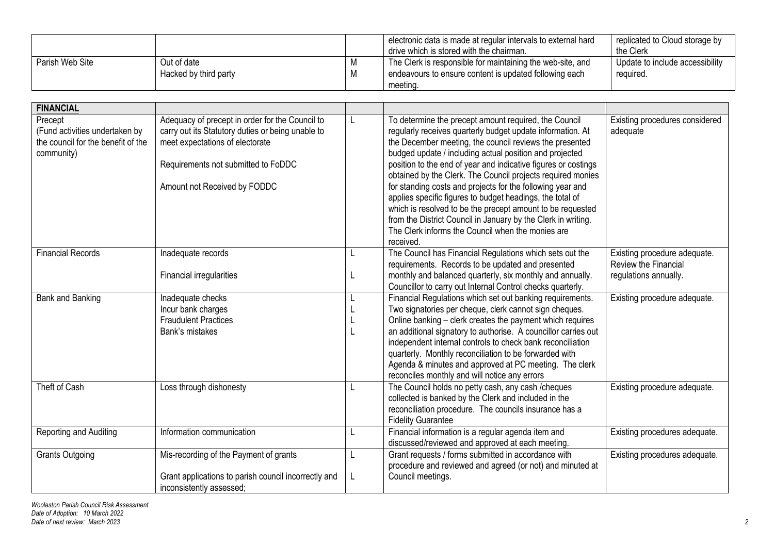|                 |                       |            | electronic data is made at regular intervals to external hard<br>drive which is stored with the chairman. | replicated to Cloud storage by<br>the Clerk |
|-----------------|-----------------------|------------|-----------------------------------------------------------------------------------------------------------|---------------------------------------------|
| Parish Web Site | Out of date           | <b>IVI</b> | The Clerk is responsible for maintaining the web-site, and                                                | Update to include accessibility             |
|                 | Hacked by third party | M          | endeavours to ensure content is updated following each                                                    | required.                                   |
|                 |                       |            | meeting.                                                                                                  |                                             |

| <b>FINANCIAL</b>                                                                              |                                                                                                                                                                                                                |   |                                                                                                                                                                                                                                                                                                                                                                                                                                                                                                                                                                                                                                                                                                        |                                                                               |
|-----------------------------------------------------------------------------------------------|----------------------------------------------------------------------------------------------------------------------------------------------------------------------------------------------------------------|---|--------------------------------------------------------------------------------------------------------------------------------------------------------------------------------------------------------------------------------------------------------------------------------------------------------------------------------------------------------------------------------------------------------------------------------------------------------------------------------------------------------------------------------------------------------------------------------------------------------------------------------------------------------------------------------------------------------|-------------------------------------------------------------------------------|
| Precept<br>(Fund activities undertaken by<br>the council for the benefit of the<br>community) | Adequacy of precept in order for the Council to<br>carry out its Statutory duties or being unable to<br>meet expectations of electorate<br>Requirements not submitted to FoDDC<br>Amount not Received by FODDC |   | To determine the precept amount required, the Council<br>regularly receives quarterly budget update information. At<br>the December meeting, the council reviews the presented<br>budged update / including actual position and projected<br>position to the end of year and indicative figures or costings<br>obtained by the Clerk. The Council projects required monies<br>for standing costs and projects for the following year and<br>applies specific figures to budget headings, the total of<br>which is resolved to be the precept amount to be requested<br>from the District Council in January by the Clerk in writing.<br>The Clerk informs the Council when the monies are<br>received. | Existing procedures considered<br>adequate                                    |
| <b>Financial Records</b>                                                                      | Inadequate records<br>Financial irregularities                                                                                                                                                                 | L | The Council has Financial Regulations which sets out the<br>requirements. Records to be updated and presented<br>monthly and balanced quarterly, six monthly and annually.<br>Councillor to carry out Internal Control checks quarterly.                                                                                                                                                                                                                                                                                                                                                                                                                                                               | Existing procedure adequate.<br>Review the Financial<br>regulations annually. |
| Bank and Banking                                                                              | Inadequate checks<br>Incur bank charges<br><b>Fraudulent Practices</b><br>Bank's mistakes                                                                                                                      |   | Financial Regulations which set out banking requirements.<br>Two signatories per cheque, clerk cannot sign cheques.<br>Online banking - clerk creates the payment which requires<br>an additional signatory to authorise. A councillor carries out<br>independent internal controls to check bank reconciliation<br>quarterly. Monthly reconciliation to be forwarded with<br>Agenda & minutes and approved at PC meeting. The clerk<br>reconciles monthly and will notice any errors                                                                                                                                                                                                                  | Existing procedure adequate.                                                  |
| Theft of Cash                                                                                 | Loss through dishonesty                                                                                                                                                                                        |   | The Council holds no petty cash, any cash / cheques<br>collected is banked by the Clerk and included in the<br>reconciliation procedure. The councils insurance has a<br><b>Fidelity Guarantee</b>                                                                                                                                                                                                                                                                                                                                                                                                                                                                                                     | Existing procedure adequate.                                                  |
| Reporting and Auditing                                                                        | Information communication                                                                                                                                                                                      | L | Financial information is a regular agenda item and<br>discussed/reviewed and approved at each meeting.                                                                                                                                                                                                                                                                                                                                                                                                                                                                                                                                                                                                 | Existing procedures adequate.                                                 |
| <b>Grants Outgoing</b>                                                                        | Mis-recording of the Payment of grants<br>Grant applications to parish council incorrectly and<br>inconsistently assessed;                                                                                     |   | Grant requests / forms submitted in accordance with<br>procedure and reviewed and agreed (or not) and minuted at<br>Council meetings.                                                                                                                                                                                                                                                                                                                                                                                                                                                                                                                                                                  | Existing procedures adequate.                                                 |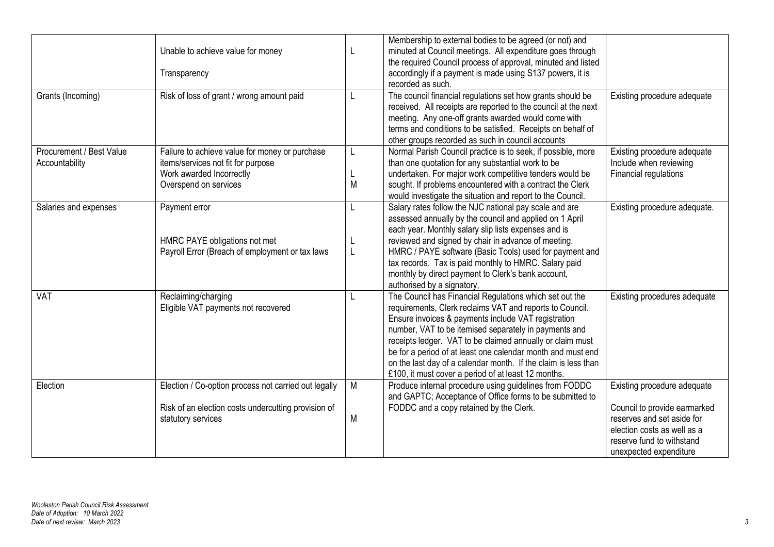| Grants (Incoming)                          | Unable to achieve value for money<br>Transparency<br>Risk of loss of grant / wrong amount paid                                            | L<br>L      | Membership to external bodies to be agreed (or not) and<br>minuted at Council meetings. All expenditure goes through<br>the required Council process of approval, minuted and listed<br>accordingly if a payment is made using S137 powers, it is<br>recorded as such.<br>The council financial regulations set how grants should be                                                                                                                                                     | Existing procedure adequate                                                                                                                                                     |
|--------------------------------------------|-------------------------------------------------------------------------------------------------------------------------------------------|-------------|------------------------------------------------------------------------------------------------------------------------------------------------------------------------------------------------------------------------------------------------------------------------------------------------------------------------------------------------------------------------------------------------------------------------------------------------------------------------------------------|---------------------------------------------------------------------------------------------------------------------------------------------------------------------------------|
|                                            |                                                                                                                                           |             | received. All receipts are reported to the council at the next<br>meeting. Any one-off grants awarded would come with<br>terms and conditions to be satisfied. Receipts on behalf of<br>other groups recorded as such in council accounts                                                                                                                                                                                                                                                |                                                                                                                                                                                 |
| Procurement / Best Value<br>Accountability | Failure to achieve value for money or purchase<br>items/services not fit for purpose<br>Work awarded Incorrectly<br>Overspend on services | L<br>L<br>M | Normal Parish Council practice is to seek, if possible, more<br>than one quotation for any substantial work to be<br>undertaken. For major work competitive tenders would be<br>sought. If problems encountered with a contract the Clerk<br>would investigate the situation and report to the Council.                                                                                                                                                                                  | Existing procedure adequate<br>Include when reviewing<br>Financial regulations                                                                                                  |
| Salaries and expenses                      | Payment error<br>HMRC PAYE obligations not met<br>Payroll Error (Breach of employment or tax laws                                         | L<br>L<br>L | Salary rates follow the NJC national pay scale and are<br>assessed annually by the council and applied on 1 April<br>each year. Monthly salary slip lists expenses and is<br>reviewed and signed by chair in advance of meeting.<br>HMRC / PAYE software (Basic Tools) used for payment and<br>tax records. Tax is paid monthly to HMRC. Salary paid<br>monthly by direct payment to Clerk's bank account,<br>authorised by a signatory,                                                 | Existing procedure adequate.                                                                                                                                                    |
| <b>VAT</b>                                 | Reclaiming/charging<br>Eligible VAT payments not recovered                                                                                | L           | The Council has Financial Regulations which set out the<br>requirements, Clerk reclaims VAT and reports to Council.<br>Ensure invoices & payments include VAT registration<br>number, VAT to be itemised separately in payments and<br>receipts ledger. VAT to be claimed annually or claim must<br>be for a period of at least one calendar month and must end<br>on the last day of a calendar month. If the claim is less than<br>£100, it must cover a period of at least 12 months. | Existing procedures adequate                                                                                                                                                    |
| Election                                   | Election / Co-option process not carried out legally<br>Risk of an election costs undercutting provision of<br>statutory services         | M<br>M      | Produce internal procedure using guidelines from FODDC<br>and GAPTC; Acceptance of Office forms to be submitted to<br>FODDC and a copy retained by the Clerk.                                                                                                                                                                                                                                                                                                                            | Existing procedure adequate<br>Council to provide earmarked<br>reserves and set aside for<br>election costs as well as a<br>reserve fund to withstand<br>unexpected expenditure |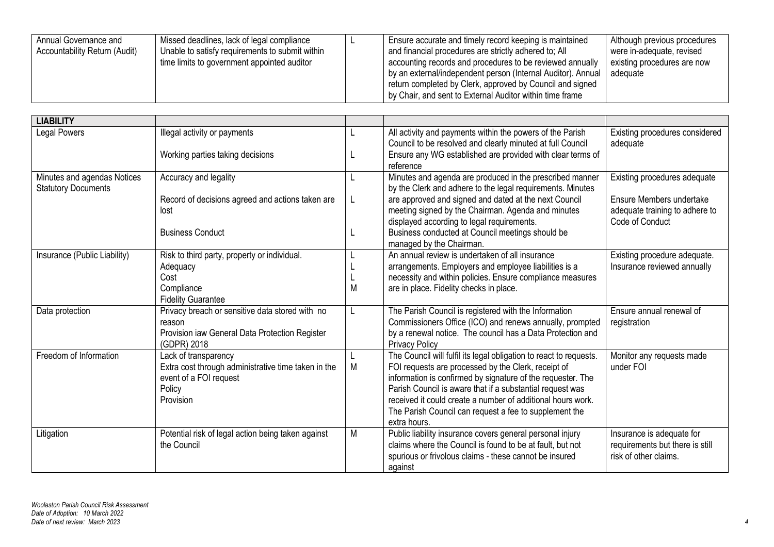| Annual Governance and<br>Accountability Return (Audit) | Missed deadlines, lack of legal compliance<br>Unable to satisfy requirements to submit within<br>time limits to government appointed auditor |  | Ensure accurate and timely record keeping is maintained<br>and financial procedures are strictly adhered to; All<br>accounting records and procedures to be reviewed annually<br>by an external/independent person (Internal Auditor). Annual<br>return completed by Clerk, approved by Council and signed<br>by Chair, and sent to External Auditor within time frame | Although previous procedures<br>were in-adequate, revised<br>existing procedures are now<br>adeguate |
|--------------------------------------------------------|----------------------------------------------------------------------------------------------------------------------------------------------|--|------------------------------------------------------------------------------------------------------------------------------------------------------------------------------------------------------------------------------------------------------------------------------------------------------------------------------------------------------------------------|------------------------------------------------------------------------------------------------------|
|--------------------------------------------------------|----------------------------------------------------------------------------------------------------------------------------------------------|--|------------------------------------------------------------------------------------------------------------------------------------------------------------------------------------------------------------------------------------------------------------------------------------------------------------------------------------------------------------------------|------------------------------------------------------------------------------------------------------|

| <b>LIABILITY</b>             |                                                               |   |                                                                                                  |                                                   |
|------------------------------|---------------------------------------------------------------|---|--------------------------------------------------------------------------------------------------|---------------------------------------------------|
| <b>Legal Powers</b>          | Illegal activity or payments                                  | L | All activity and payments within the powers of the Parish                                        | Existing procedures considered                    |
|                              |                                                               |   | Council to be resolved and clearly minuted at full Council                                       | adequate                                          |
|                              | Working parties taking decisions                              |   | Ensure any WG established are provided with clear terms of<br>reference                          |                                                   |
| Minutes and agendas Notices  | Accuracy and legality                                         |   | Minutes and agenda are produced in the prescribed manner                                         | Existing procedures adequate                      |
| <b>Statutory Documents</b>   |                                                               |   | by the Clerk and adhere to the legal requirements. Minutes                                       |                                                   |
|                              | Record of decisions agreed and actions taken are              |   | are approved and signed and dated at the next Council                                            | Ensure Members undertake                          |
|                              | lost                                                          |   | meeting signed by the Chairman. Agenda and minutes<br>displayed according to legal requirements. | adequate training to adhere to<br>Code of Conduct |
|                              | <b>Business Conduct</b>                                       |   | Business conducted at Council meetings should be                                                 |                                                   |
|                              |                                                               |   | managed by the Chairman.                                                                         |                                                   |
| Insurance (Public Liability) | Risk to third party, property or individual.                  |   | An annual review is undertaken of all insurance                                                  | Existing procedure adequate.                      |
|                              | Adequacy                                                      |   | arrangements. Employers and employee liabilities is a                                            | Insurance reviewed annually                       |
|                              | Cost                                                          |   | necessity and within policies. Ensure compliance measures                                        |                                                   |
|                              | Compliance                                                    |   | are in place. Fidelity checks in place.                                                          |                                                   |
|                              | <b>Fidelity Guarantee</b>                                     |   |                                                                                                  |                                                   |
| Data protection              | Privacy breach or sensitive data stored with no               | L | The Parish Council is registered with the Information                                            | Ensure annual renewal of                          |
|                              | reason                                                        |   | Commissioners Office (ICO) and renews annually, prompted                                         | registration                                      |
|                              | Provision iaw General Data Protection Register<br>(GDPR) 2018 |   | by a renewal notice. The council has a Data Protection and<br><b>Privacy Policy</b>              |                                                   |
| Freedom of Information       | Lack of transparency                                          |   | The Council will fulfil its legal obligation to react to requests.                               | Monitor any requests made                         |
|                              | Extra cost through administrative time taken in the           | M | FOI requests are processed by the Clerk, receipt of                                              | under FOI                                         |
|                              | event of a FOI request                                        |   | information is confirmed by signature of the requester. The                                      |                                                   |
|                              | Policy                                                        |   | Parish Council is aware that if a substantial request was                                        |                                                   |
|                              | Provision                                                     |   | received it could create a number of additional hours work.                                      |                                                   |
|                              |                                                               |   | The Parish Council can request a fee to supplement the                                           |                                                   |
|                              |                                                               |   | extra hours.                                                                                     |                                                   |
| Litigation                   | Potential risk of legal action being taken against            | M | Public liability insurance covers general personal injury                                        | Insurance is adequate for                         |
|                              | the Council                                                   |   | claims where the Council is found to be at fault, but not                                        | requirements but there is still                   |
|                              |                                                               |   | spurious or frivolous claims - these cannot be insured                                           | risk of other claims.                             |
|                              |                                                               |   | against                                                                                          |                                                   |